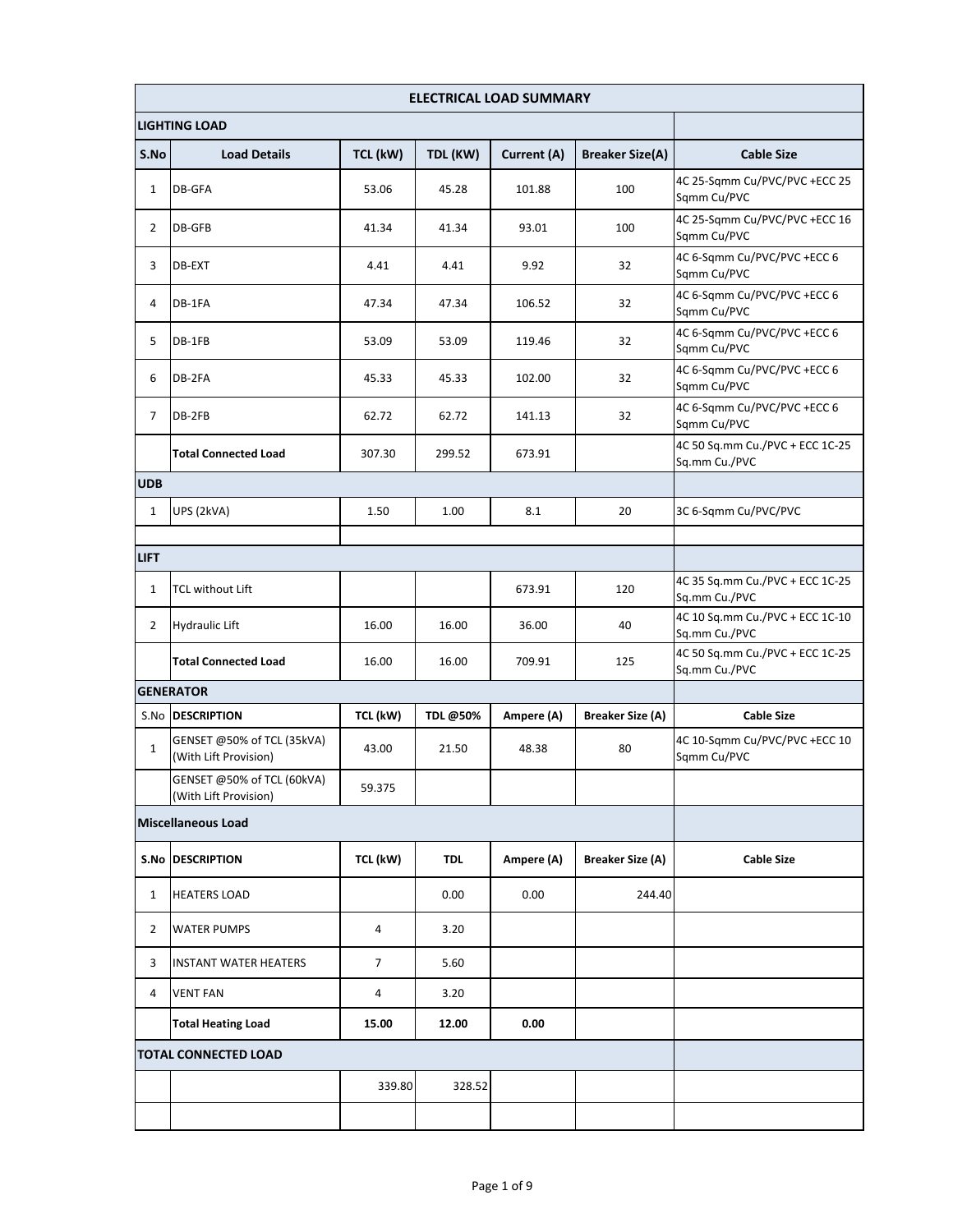| ELECTRICAL LOAD SUMMARY |                                                     |          |            |             |                         |                                                  |
|-------------------------|-----------------------------------------------------|----------|------------|-------------|-------------------------|--------------------------------------------------|
|                         | <b>LIGHTING LOAD</b>                                |          |            |             |                         |                                                  |
| S.No                    | <b>Load Details</b>                                 | TCL (kW) | TDL (KW)   | Current (A) | <b>Breaker Size(A)</b>  | <b>Cable Size</b>                                |
| 1                       | DB-GFA                                              | 53.06    | 45.28      | 101.88      | 100                     | 4C 25-Sqmm Cu/PVC/PVC +ECC 25<br>Sqmm Cu/PVC     |
| $\overline{2}$          | DB-GFB                                              | 41.34    | 41.34      | 93.01       | 100                     | 4C 25-Sqmm Cu/PVC/PVC +ECC 16<br>Sqmm Cu/PVC     |
| 3                       | DB-EXT                                              | 4.41     | 4.41       | 9.92        | 32                      | 4C 6-Sqmm Cu/PVC/PVC +ECC 6<br>Sqmm Cu/PVC       |
| 4                       | DB-1FA                                              | 47.34    | 47.34      | 106.52      | 32                      | 4C 6-Sqmm Cu/PVC/PVC +ECC 6<br>Sqmm Cu/PVC       |
| 5                       | DB-1FB                                              | 53.09    | 53.09      | 119.46      | 32                      | 4C 6-Sqmm Cu/PVC/PVC +ECC 6<br>Sqmm Cu/PVC       |
| 6                       | DB-2FA                                              | 45.33    | 45.33      | 102.00      | 32                      | 4C 6-Sqmm Cu/PVC/PVC +ECC 6<br>Sqmm Cu/PVC       |
| 7                       | DB-2FB                                              | 62.72    | 62.72      | 141.13      | 32                      | 4C 6-Sqmm Cu/PVC/PVC +ECC 6<br>Sqmm Cu/PVC       |
|                         | <b>Total Connected Load</b>                         | 307.30   | 299.52     | 673.91      |                         | 4C 50 Sq.mm Cu./PVC + ECC 1C-25<br>Sq.mm Cu./PVC |
| <b>UDB</b>              |                                                     |          |            |             |                         |                                                  |
| $\mathbf{1}$            | UPS (2kVA)                                          | 1.50     | 1.00       | 8.1         | 20                      | 3C 6-Sqmm Cu/PVC/PVC                             |
|                         |                                                     |          |            |             |                         |                                                  |
| <b>LIFT</b>             |                                                     |          |            |             |                         | 4C 35 Sq.mm Cu./PVC + ECC 1C-25                  |
| $\mathbf{1}$            | <b>TCL without Lift</b>                             |          |            | 673.91      | 120                     | Sq.mm Cu./PVC                                    |
| $\overline{2}$          | <b>Hydraulic Lift</b>                               | 16.00    | 16.00      | 36.00       | 40                      | 4C 10 Sq.mm Cu./PVC + ECC 1C-10<br>Sq.mm Cu./PVC |
|                         | <b>Total Connected Load</b>                         | 16.00    | 16.00      | 709.91      | 125                     | 4C 50 Sq.mm Cu./PVC + ECC 1C-25<br>Sq.mm Cu./PVC |
|                         | <b>GENERATOR</b>                                    |          |            |             |                         |                                                  |
|                         | S.No   DESCRIPTION                                  | TCL (kW) | TDL@50%    | Ampere (A)  | <b>Breaker Size (A)</b> | <b>Cable Size</b>                                |
| 1                       | GENSET @50% of TCL (35kVA)<br>(With Lift Provision) | 43.00    | 21.50      | 48.38       | 80                      | 4C 10-Sqmm Cu/PVC/PVC +ECC 10<br>Sqmm Cu/PVC     |
|                         | GENSET @50% of TCL (60kVA)<br>(With Lift Provision) | 59.375   |            |             |                         |                                                  |
|                         | <b>Miscellaneous Load</b>                           |          |            |             |                         |                                                  |
|                         | <b>S.No DESCRIPTION</b>                             | TCL (kW) | <b>TDL</b> | Ampere (A)  | <b>Breaker Size (A)</b> | <b>Cable Size</b>                                |
| 1                       | <b>HEATERS LOAD</b>                                 |          | 0.00       | 0.00        | 244.40                  |                                                  |
| 2                       | <b>WATER PUMPS</b>                                  | 4        | 3.20       |             |                         |                                                  |
| 3                       | <b>INSTANT WATER HEATERS</b>                        | 7        | 5.60       |             |                         |                                                  |
| 4                       | <b>VENT FAN</b>                                     | 4        | 3.20       |             |                         |                                                  |
|                         | <b>Total Heating Load</b>                           | 15.00    | 12.00      | 0.00        |                         |                                                  |
|                         | <b>TOTAL CONNECTED LOAD</b>                         |          |            |             |                         |                                                  |
|                         |                                                     | 339.80   | 328.52     |             |                         |                                                  |
|                         |                                                     |          |            |             |                         |                                                  |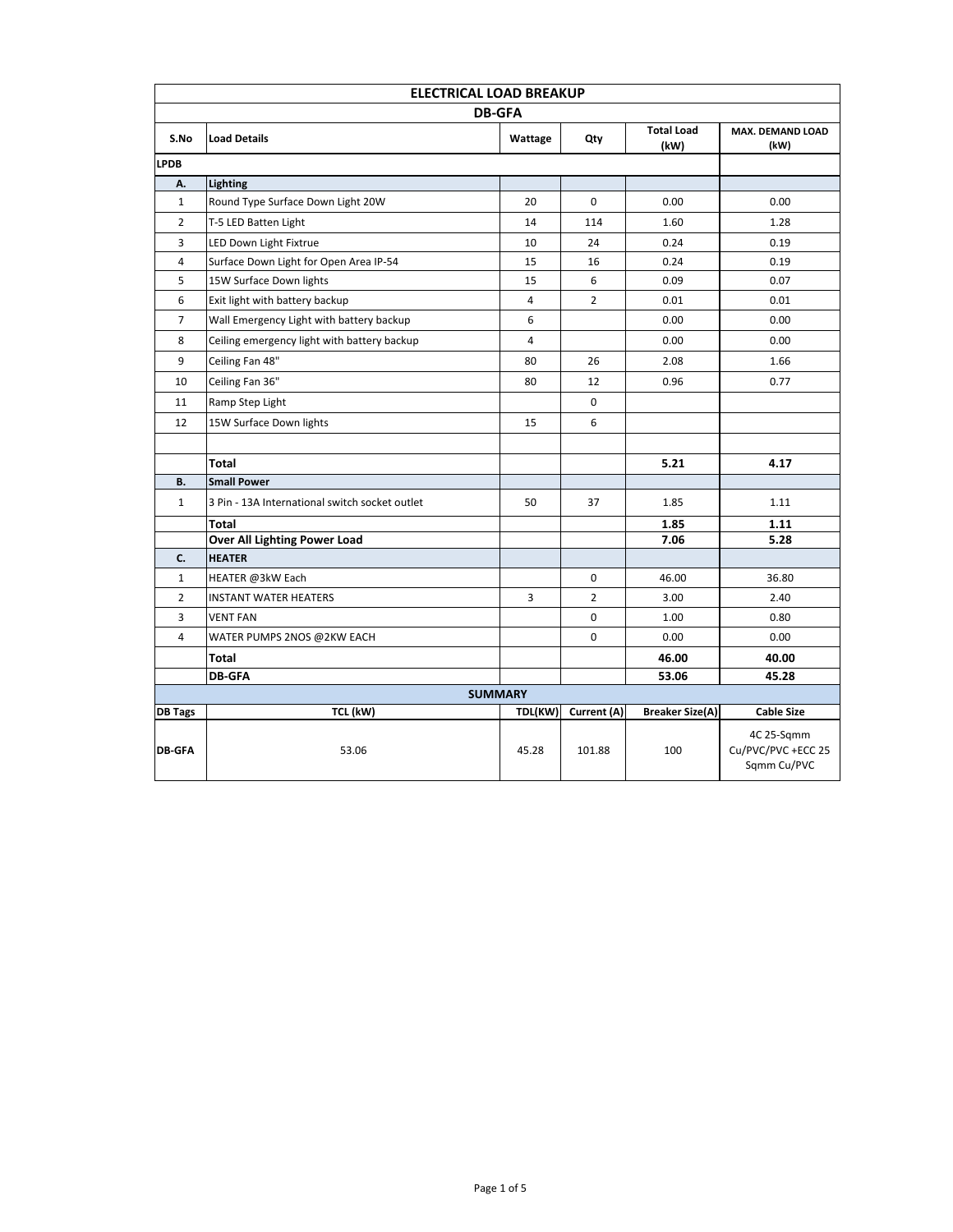| <b>ELECTRICAL LOAD BREAKUP</b> |                                                |                |                |                           |                                                 |  |  |
|--------------------------------|------------------------------------------------|----------------|----------------|---------------------------|-------------------------------------------------|--|--|
| <b>DB-GFA</b>                  |                                                |                |                |                           |                                                 |  |  |
| S.No                           | <b>Load Details</b>                            | Wattage        | Qty            | <b>Total Load</b><br>(kW) | <b>MAX. DEMAND LOAD</b><br>(kW)                 |  |  |
| <b>LPDB</b>                    |                                                |                |                |                           |                                                 |  |  |
| Α.                             | <b>Lighting</b>                                |                |                |                           |                                                 |  |  |
| $\mathbf{1}$                   | Round Type Surface Down Light 20W              |                | $\Omega$       | 0.00                      | 0.00                                            |  |  |
| $\overline{2}$                 | T-5 LED Batten Light                           | 14             | 114            | 1.60                      | 1.28                                            |  |  |
| 3                              | LED Down Light Fixtrue                         | 10             | 24             | 0.24                      | 0.19                                            |  |  |
| 4                              | Surface Down Light for Open Area IP-54         | 15             | 16             | 0.24                      | 0.19                                            |  |  |
| 5                              | 15W Surface Down lights                        | 15             | 6              | 0.09                      | 0.07                                            |  |  |
| 6                              | Exit light with battery backup                 | 4              | $\overline{2}$ | 0.01                      | 0.01                                            |  |  |
| $\overline{7}$                 | Wall Emergency Light with battery backup       | 6              |                | 0.00                      | 0.00                                            |  |  |
| 8                              | Ceiling emergency light with battery backup    | 4              |                | 0.00                      | 0.00                                            |  |  |
| 9                              | Ceiling Fan 48"                                | 80             | 26             | 2.08                      | 1.66                                            |  |  |
| 10                             | Ceiling Fan 36"                                | 80             | 12             | 0.96                      | 0.77                                            |  |  |
| 11                             | Ramp Step Light                                |                | 0              |                           |                                                 |  |  |
| 12                             | 15W Surface Down lights                        | 15             | 6              |                           |                                                 |  |  |
|                                |                                                |                |                |                           |                                                 |  |  |
|                                | <b>Total</b>                                   |                |                | 5.21                      | 4.17                                            |  |  |
| В.                             | <b>Small Power</b>                             |                |                |                           |                                                 |  |  |
| $\mathbf{1}$                   | 3 Pin - 13A International switch socket outlet | 50             | 37             | 1.85                      | 1.11                                            |  |  |
|                                | <b>Total</b>                                   |                |                | 1.85                      | 1.11                                            |  |  |
|                                | Over All Lighting Power Load                   |                |                | 7.06                      | 5.28                                            |  |  |
| C.                             | <b>HEATER</b>                                  |                |                |                           |                                                 |  |  |
| $\mathbf{1}$                   | HEATER @3kW Each                               |                | 0              | 46.00                     | 36.80                                           |  |  |
| $\overline{2}$                 | <b>INSTANT WATER HEATERS</b>                   | 3              | 2              | 3.00                      | 2.40                                            |  |  |
| 3                              | <b>VENT FAN</b>                                |                | 0              | 1.00                      | 0.80                                            |  |  |
| 4                              | WATER PUMPS 2NOS @2KW EACH                     |                | 0              | 0.00                      | 0.00                                            |  |  |
| Total                          |                                                |                |                | 46.00                     | 40.00                                           |  |  |
|                                | <b>DB-GFA</b>                                  |                |                | 53.06                     | 45.28                                           |  |  |
|                                |                                                | <b>SUMMARY</b> |                |                           |                                                 |  |  |
| <b>DB Tags</b>                 | TCL (kW)                                       | TDL(KW)        | Current (A)    | <b>Breaker Size(A)</b>    | <b>Cable Size</b>                               |  |  |
| <b>DB-GFA</b>                  | 53.06                                          | 45.28          | 101.88         | 100                       | 4C 25-Sqmm<br>Cu/PVC/PVC +ECC 25<br>Sqmm Cu/PVC |  |  |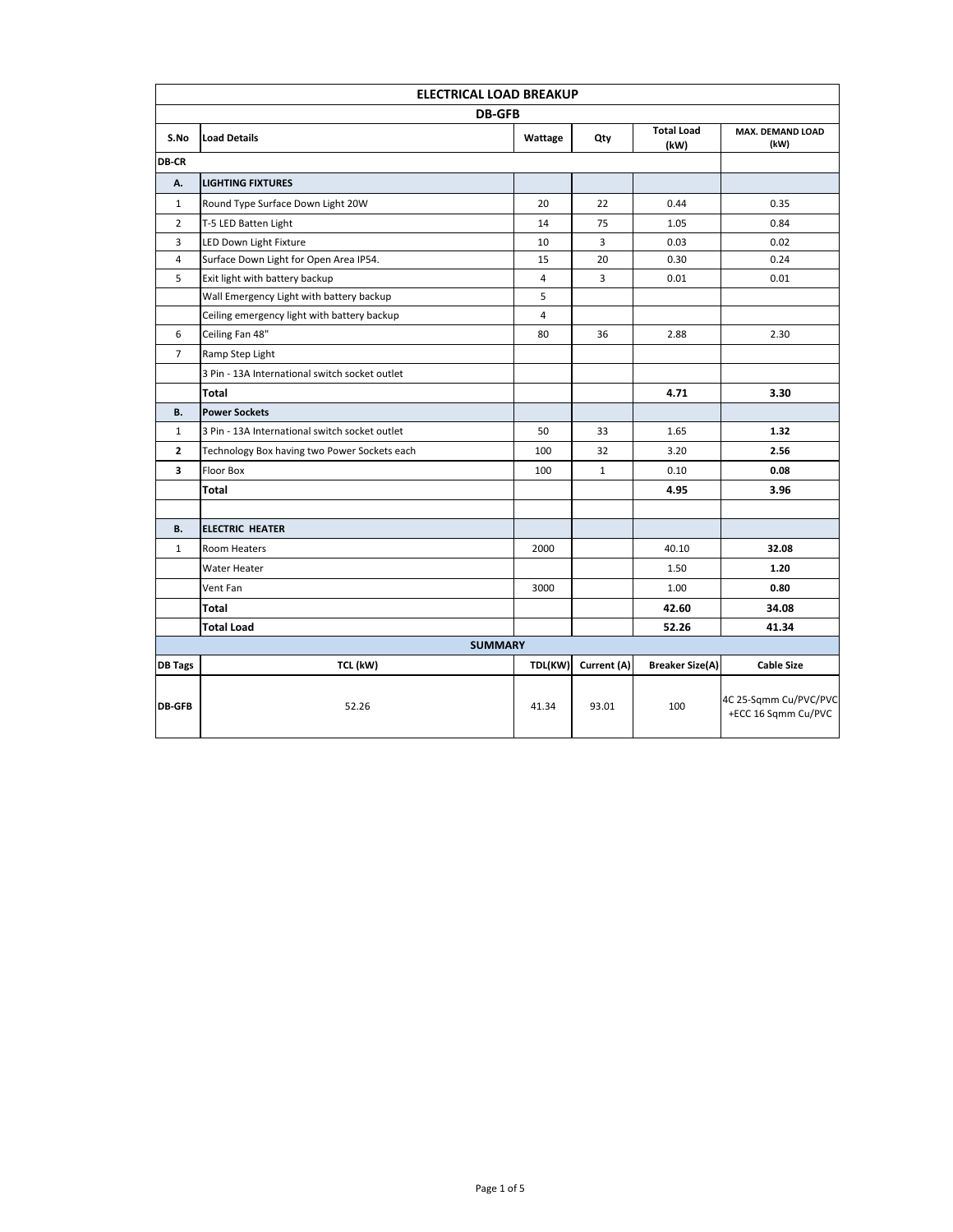|                | <b>ELECTRICAL LOAD BREAKUP</b>                 |                |              |                           |                                              |  |  |  |  |
|----------------|------------------------------------------------|----------------|--------------|---------------------------|----------------------------------------------|--|--|--|--|
|                | <b>DB-GFB</b>                                  |                |              |                           |                                              |  |  |  |  |
| S.No           | <b>Load Details</b>                            | Wattage        | Qty          | <b>Total Load</b><br>(kW) | MAX. DEMAND LOAD<br>(kW)                     |  |  |  |  |
| <b>DB-CR</b>   |                                                |                |              |                           |                                              |  |  |  |  |
| А.             | <b>LIGHTING FIXTURES</b>                       |                |              |                           |                                              |  |  |  |  |
| $\mathbf{1}$   | Round Type Surface Down Light 20W              | 20             | 22           | 0.44                      | 0.35                                         |  |  |  |  |
| $\overline{2}$ | T-5 LED Batten Light                           | 14             | 75           | 1.05                      | 0.84                                         |  |  |  |  |
| 3              | LED Down Light Fixture                         | 10             | 3            | 0.03                      | 0.02                                         |  |  |  |  |
| $\overline{4}$ | Surface Down Light for Open Area IP54.         | 15             | 20           | 0.30                      | 0.24                                         |  |  |  |  |
| 5              | Exit light with battery backup                 | $\sqrt{4}$     | 3            | 0.01                      | 0.01                                         |  |  |  |  |
|                | Wall Emergency Light with battery backup       | 5              |              |                           |                                              |  |  |  |  |
|                | Ceiling emergency light with battery backup    | $\overline{4}$ |              |                           |                                              |  |  |  |  |
| 6              | Ceiling Fan 48"                                | 80             | 36           | 2.88                      | 2.30                                         |  |  |  |  |
| $\overline{7}$ | Ramp Step Light                                |                |              |                           |                                              |  |  |  |  |
|                | 3 Pin - 13A International switch socket outlet |                |              |                           |                                              |  |  |  |  |
|                | <b>Total</b>                                   |                |              | 4.71                      | 3.30                                         |  |  |  |  |
| В.             | <b>Power Sockets</b>                           |                |              |                           |                                              |  |  |  |  |
| $\mathbf{1}$   | 3 Pin - 13A International switch socket outlet | 50             | 33           | 1.65                      | 1.32                                         |  |  |  |  |
| $\overline{2}$ | Technology Box having two Power Sockets each   | 100            | 32           | 3.20                      | 2.56                                         |  |  |  |  |
| 3              | <b>Floor Box</b>                               | 100            | $\mathbf{1}$ | 0.10                      | 0.08                                         |  |  |  |  |
|                | <b>Total</b>                                   |                |              | 4.95                      | 3.96                                         |  |  |  |  |
|                |                                                |                |              |                           |                                              |  |  |  |  |
| В.             | <b>ELECTRIC HEATER</b>                         |                |              |                           |                                              |  |  |  |  |
| $\mathbf{1}$   | <b>Room Heaters</b>                            | 2000           |              | 40.10                     | 32.08                                        |  |  |  |  |
|                | <b>Water Heater</b>                            |                |              | 1.50                      | 1.20                                         |  |  |  |  |
|                | Vent Fan                                       | 3000           |              | 1.00                      | 0.80                                         |  |  |  |  |
|                | Total                                          |                |              | 42.60                     | 34.08                                        |  |  |  |  |
|                | <b>Total Load</b>                              |                |              | 52.26                     | 41.34                                        |  |  |  |  |
|                | <b>SUMMARY</b>                                 |                |              |                           |                                              |  |  |  |  |
| <b>DB Tags</b> | TCL (kW)                                       | TDL(KW)        | Current (A)  | <b>Breaker Size(A)</b>    | <b>Cable Size</b>                            |  |  |  |  |
| <b>DB-GFB</b>  | 52.26                                          | 41.34          | 93.01        | 100                       | 4C 25-Sqmm Cu/PVC/PVC<br>+ECC 16 Sqmm Cu/PVC |  |  |  |  |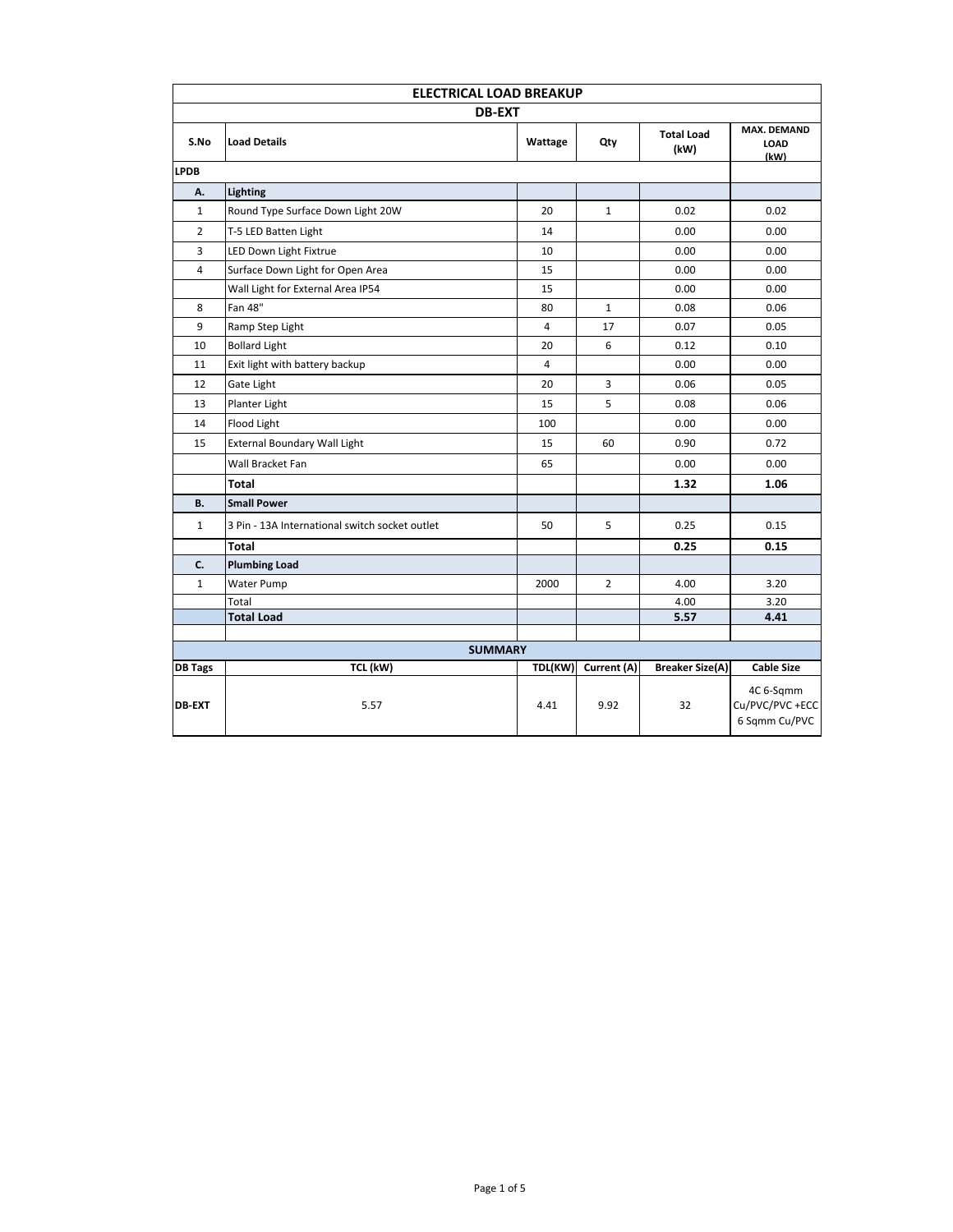| <b>ELECTRICAL LOAD BREAKUP</b> |                                                |         |              |                           |                                              |  |  |
|--------------------------------|------------------------------------------------|---------|--------------|---------------------------|----------------------------------------------|--|--|
| <b>DB-EXT</b>                  |                                                |         |              |                           |                                              |  |  |
| S.No                           | <b>Load Details</b>                            | Wattage | Qty          | <b>Total Load</b><br>(kW) | <b>MAX. DEMAND</b><br>LOAD<br>(kW)           |  |  |
| <b>LPDB</b>                    |                                                |         |              |                           |                                              |  |  |
| А.                             | Lighting                                       |         |              |                           |                                              |  |  |
| $\mathbf{1}$                   | Round Type Surface Down Light 20W              | 20      | $\mathbf{1}$ | 0.02                      | 0.02                                         |  |  |
| $\overline{2}$                 | T-5 LED Batten Light                           |         |              | 0.00                      | 0.00                                         |  |  |
| 3                              | LED Down Light Fixtrue                         | 10      |              | 0.00                      | 0.00                                         |  |  |
| $\overline{4}$                 | Surface Down Light for Open Area               | 15      |              | 0.00                      | 0.00                                         |  |  |
|                                | Wall Light for External Area IP54              | 15      |              | 0.00                      | 0.00                                         |  |  |
| 8                              | Fan 48"                                        | 80      | $\mathbf{1}$ | 0.08                      | 0.06                                         |  |  |
| 9                              | Ramp Step Light                                | 4       | 17           | 0.07                      | 0.05                                         |  |  |
| 10                             | <b>Bollard Light</b>                           |         | 6            | 0.12                      | 0.10                                         |  |  |
| 11                             | Exit light with battery backup                 | 4       |              | 0.00                      | 0.00                                         |  |  |
| 12                             | Gate Light                                     | 20      | 3            | 0.06                      | 0.05                                         |  |  |
| 13                             | Planter Light                                  | 15      | 5            | 0.08                      | 0.06                                         |  |  |
| 14                             | Flood Light                                    | 100     |              | 0.00                      | 0.00                                         |  |  |
| 15                             | <b>External Boundary Wall Light</b>            | 15      | 60           | 0.90                      | 0.72                                         |  |  |
|                                | Wall Bracket Fan                               | 65      |              | 0.00                      | 0.00                                         |  |  |
|                                | Total                                          |         |              | 1.32                      | 1.06                                         |  |  |
| <b>B.</b>                      | <b>Small Power</b>                             |         |              |                           |                                              |  |  |
| $\mathbf{1}$                   | 3 Pin - 13A International switch socket outlet | 50      | 5            | 0.25                      | 0.15                                         |  |  |
|                                | <b>Total</b>                                   |         |              | 0.25                      | 0.15                                         |  |  |
| C.                             | <b>Plumbing Load</b>                           |         |              |                           |                                              |  |  |
| $\mathbf{1}$                   | Water Pump                                     | 2000    | 2            | 4.00                      | 3.20                                         |  |  |
|                                | Total                                          |         |              | 4.00                      | 3.20                                         |  |  |
|                                | <b>Total Load</b>                              |         |              | 5.57                      | 4.41                                         |  |  |
|                                | <b>SUMMARY</b>                                 |         |              |                           |                                              |  |  |
| <b>DB Tags</b>                 | TCL (kW)                                       | TDL(KW) | Current (A)  | <b>Breaker Size(A)</b>    | <b>Cable Size</b>                            |  |  |
| <b>DB-EXT</b>                  | 5.57                                           | 4.41    | 9.92         | 32                        | 4C 6-Sqmm<br>Cu/PVC/PVC+ECC<br>6 Sqmm Cu/PVC |  |  |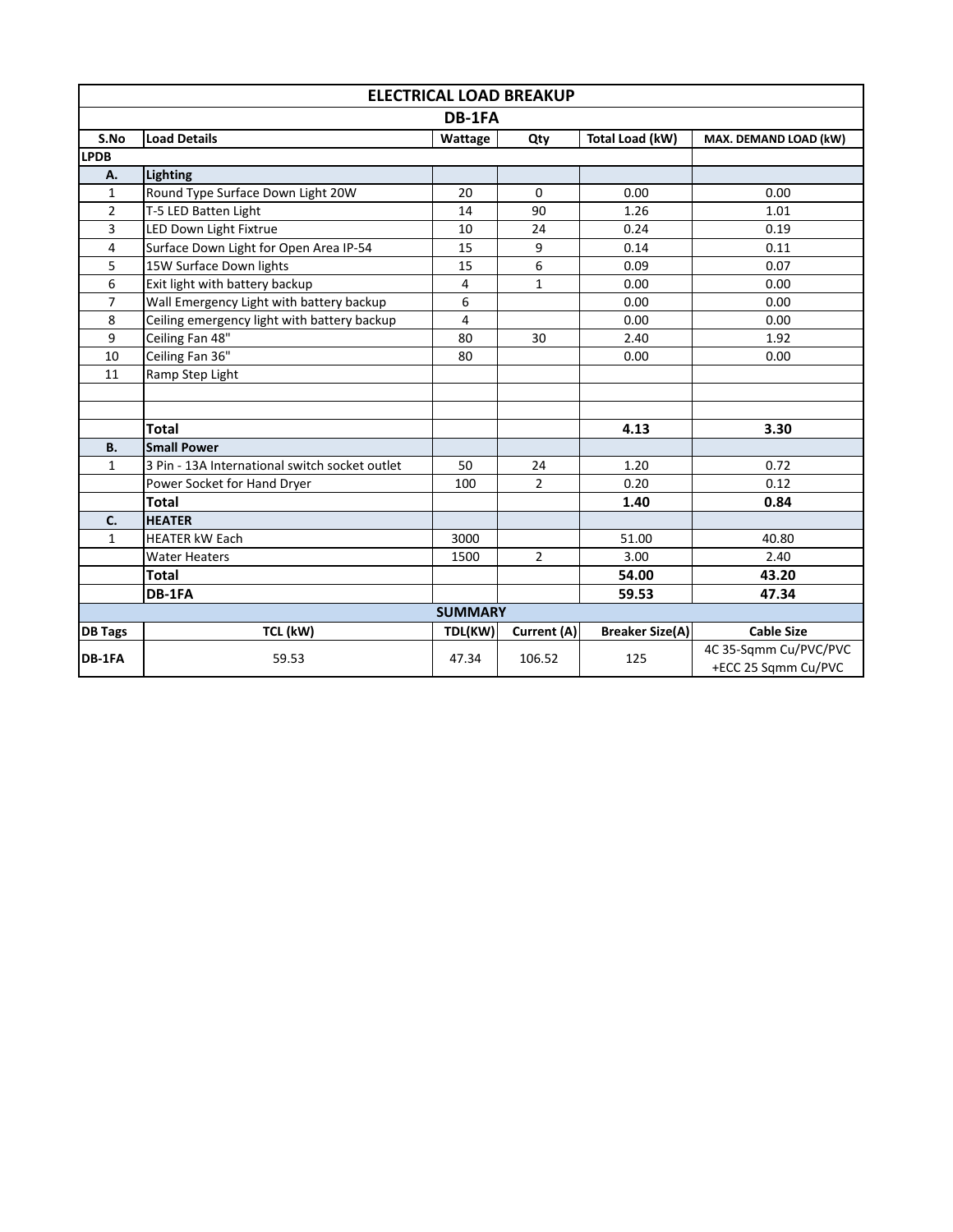| <b>ELECTRICAL LOAD BREAKUP</b> |                                                |                |                |                        |                       |  |  |
|--------------------------------|------------------------------------------------|----------------|----------------|------------------------|-----------------------|--|--|
| DB-1FA                         |                                                |                |                |                        |                       |  |  |
| S.No                           | <b>Load Details</b>                            | Wattage        | Qty            | Total Load (kW)        | MAX. DEMAND LOAD (kW) |  |  |
| <b>LPDB</b>                    |                                                |                |                |                        |                       |  |  |
| Α.                             | Lighting                                       |                |                |                        |                       |  |  |
| $\mathbf{1}$                   | Round Type Surface Down Light 20W              | 20             | $\Omega$       | 0.00                   | 0.00                  |  |  |
| $\overline{2}$                 | T-5 LED Batten Light                           | 14             | 90             | 1.26                   | 1.01                  |  |  |
| 3                              | LED Down Light Fixtrue                         | 10             | 24             | 0.24                   | 0.19                  |  |  |
| 4                              | Surface Down Light for Open Area IP-54         | 15             | 9              | 0.14                   | 0.11                  |  |  |
| 5                              | 15W Surface Down lights                        | 15             | 6              | 0.09                   | 0.07                  |  |  |
| 6                              | Exit light with battery backup                 | 4              | $\mathbf{1}$   | 0.00                   | 0.00                  |  |  |
| $\overline{7}$                 | Wall Emergency Light with battery backup       | 6              |                | 0.00                   | 0.00                  |  |  |
| 8                              | Ceiling emergency light with battery backup    | 4              |                | 0.00                   | 0.00                  |  |  |
| 9                              | Ceiling Fan 48"                                | 80             | 30             | 2.40                   | 1.92                  |  |  |
| 10                             | Ceiling Fan 36"                                | 80             |                | 0.00                   | 0.00                  |  |  |
| 11                             | Ramp Step Light                                |                |                |                        |                       |  |  |
|                                |                                                |                |                |                        |                       |  |  |
|                                |                                                |                |                |                        |                       |  |  |
|                                | <b>Total</b>                                   |                |                | 4.13                   | 3.30                  |  |  |
| <b>B.</b>                      | <b>Small Power</b>                             |                |                |                        |                       |  |  |
| $\mathbf{1}$                   | 3 Pin - 13A International switch socket outlet | 50             | 24             | 1.20                   | 0.72                  |  |  |
|                                | Power Socket for Hand Dryer                    | 100            | $\overline{2}$ | 0.20                   | 0.12                  |  |  |
|                                | <b>Total</b>                                   |                |                | 1.40                   | 0.84                  |  |  |
| C.                             | <b>HEATER</b>                                  |                |                |                        |                       |  |  |
| $\mathbf{1}$                   | <b>HEATER kW Each</b>                          | 3000           |                | 51.00                  | 40.80                 |  |  |
|                                | <b>Water Heaters</b>                           | 1500           | $\overline{2}$ | 3.00                   | 2.40                  |  |  |
|                                | <b>Total</b>                                   |                |                | 54.00                  | 43.20                 |  |  |
|                                | DB-1FA                                         |                |                | 59.53                  | 47.34                 |  |  |
|                                |                                                | <b>SUMMARY</b> |                |                        |                       |  |  |
| <b>DB Tags</b>                 | TCL (kW)                                       | TDL(KW)        | Current (A)    | <b>Breaker Size(A)</b> | <b>Cable Size</b>     |  |  |
| DB-1FA                         |                                                |                |                |                        | 4C 35-Sqmm Cu/PVC/PVC |  |  |
|                                | 59.53                                          | 47.34          | 106.52         | 125                    | +ECC 25 Sqmm Cu/PVC   |  |  |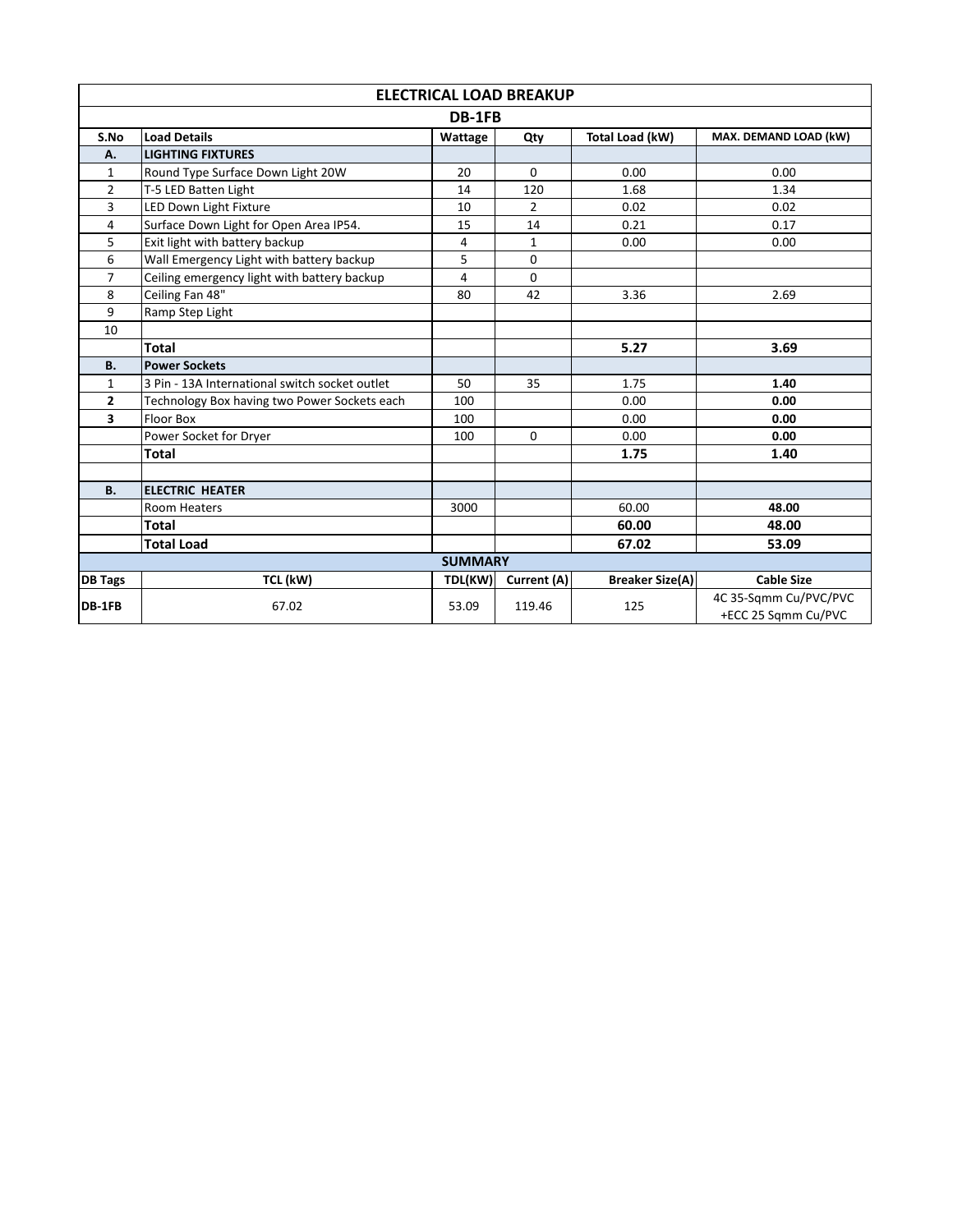|                | <b>ELECTRICAL LOAD BREAKUP</b>                 |                |                |                        |                                              |  |  |
|----------------|------------------------------------------------|----------------|----------------|------------------------|----------------------------------------------|--|--|
| DB-1FB         |                                                |                |                |                        |                                              |  |  |
| S.No           | <b>Load Details</b>                            | Wattage        | Qty            | Total Load (kW)        | MAX. DEMAND LOAD (kW)                        |  |  |
| A.             | <b>LIGHTING FIXTURES</b>                       |                |                |                        |                                              |  |  |
| 1              | Round Type Surface Down Light 20W              | 20             | $\Omega$       | 0.00                   | 0.00                                         |  |  |
| $\overline{2}$ | T-5 LED Batten Light                           |                | 120            | 1.68                   | 1.34                                         |  |  |
| 3              | LED Down Light Fixture                         | 10             | $\overline{2}$ | 0.02                   | 0.02                                         |  |  |
| 4              | Surface Down Light for Open Area IP54.         | 15             | 14             | 0.21                   | 0.17                                         |  |  |
| 5              | Exit light with battery backup                 | 4              | 1              | 0.00                   | 0.00                                         |  |  |
| 6              | Wall Emergency Light with battery backup       | 5              | 0              |                        |                                              |  |  |
| $\overline{7}$ | Ceiling emergency light with battery backup    | 4              | 0              |                        |                                              |  |  |
| 8              | Ceiling Fan 48"                                | 80             | 42             | 3.36                   | 2.69                                         |  |  |
| 9              | Ramp Step Light                                |                |                |                        |                                              |  |  |
| 10             |                                                |                |                |                        |                                              |  |  |
|                | <b>Total</b>                                   |                |                | 5.27                   | 3.69                                         |  |  |
| <b>B.</b>      | <b>Power Sockets</b>                           |                |                |                        |                                              |  |  |
| $\mathbf{1}$   | 3 Pin - 13A International switch socket outlet | 50             | 35             | 1.75                   | 1.40                                         |  |  |
| $\overline{2}$ | Technology Box having two Power Sockets each   | 100            |                | 0.00                   | 0.00                                         |  |  |
| 3              | Floor Box                                      | 100            |                | 0.00                   | 0.00                                         |  |  |
|                | Power Socket for Dryer                         | 100            | $\Omega$       | 0.00                   | 0.00                                         |  |  |
|                | <b>Total</b>                                   |                |                | 1.75                   | 1.40                                         |  |  |
|                |                                                |                |                |                        |                                              |  |  |
| <b>B.</b>      | <b>ELECTRIC HEATER</b>                         |                |                |                        |                                              |  |  |
|                | <b>Room Heaters</b>                            | 3000           |                | 60.00                  | 48.00                                        |  |  |
|                | <b>Total</b>                                   |                |                | 60.00                  | 48.00                                        |  |  |
|                | <b>Total Load</b>                              |                |                | 67.02                  | 53.09                                        |  |  |
|                |                                                | <b>SUMMARY</b> |                |                        |                                              |  |  |
| <b>DB Tags</b> | TCL (kW)                                       | TDL(KW)        | Current (A)    | <b>Breaker Size(A)</b> | <b>Cable Size</b>                            |  |  |
| DB-1FB         | 67.02                                          | 53.09          | 119.46         | 125                    | 4C 35-Sqmm Cu/PVC/PVC<br>+ECC 25 Sgmm Cu/PVC |  |  |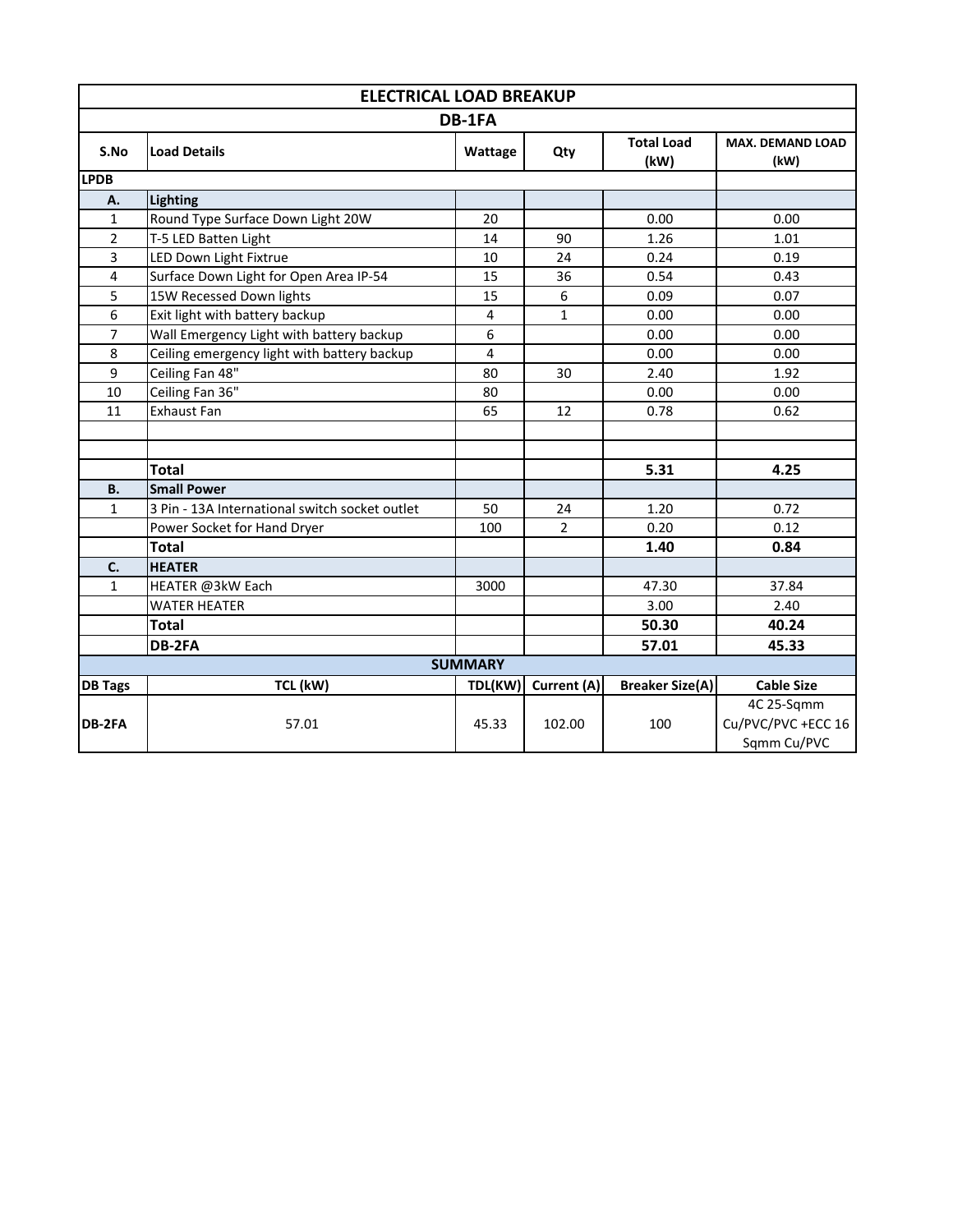| <b>ELECTRICAL LOAD BREAKUP</b> |                                                |                |                |                           |                                 |  |  |  |  |
|--------------------------------|------------------------------------------------|----------------|----------------|---------------------------|---------------------------------|--|--|--|--|
|                                | DB-1FA                                         |                |                |                           |                                 |  |  |  |  |
| S.No                           | <b>Load Details</b>                            | Wattage        | Qty            | <b>Total Load</b><br>(kW) | <b>MAX. DEMAND LOAD</b><br>(kW) |  |  |  |  |
| <b>LPDB</b>                    |                                                |                |                |                           |                                 |  |  |  |  |
| А.                             | Lighting                                       |                |                |                           |                                 |  |  |  |  |
| 1                              | Round Type Surface Down Light 20W              | 20             |                | 0.00                      | 0.00                            |  |  |  |  |
| $\overline{2}$                 | T-5 LED Batten Light                           | 14             | 90             | 1.26                      | 1.01                            |  |  |  |  |
| 3                              | LED Down Light Fixtrue                         | 10             | 24             | 0.24                      | 0.19                            |  |  |  |  |
| 4                              | Surface Down Light for Open Area IP-54         | 15             | 36             | 0.54                      | 0.43                            |  |  |  |  |
| 5                              | 15W Recessed Down lights                       | 15             | 6              | 0.09                      | 0.07                            |  |  |  |  |
| 6                              | Exit light with battery backup                 | 4              | 1              | 0.00                      | 0.00                            |  |  |  |  |
| $\overline{7}$                 | Wall Emergency Light with battery backup       | 6              |                | 0.00                      | 0.00                            |  |  |  |  |
| 8                              | Ceiling emergency light with battery backup    | 4              |                | 0.00                      | 0.00                            |  |  |  |  |
| 9                              | Ceiling Fan 48"                                | 80             | 30             | 2.40                      | 1.92                            |  |  |  |  |
| 10                             | Ceiling Fan 36"                                | 80             |                | 0.00                      | 0.00                            |  |  |  |  |
| 11                             | <b>Exhaust Fan</b>                             | 65             | 12             | 0.78                      | 0.62                            |  |  |  |  |
|                                |                                                |                |                |                           |                                 |  |  |  |  |
|                                |                                                |                |                |                           |                                 |  |  |  |  |
|                                | <b>Total</b>                                   |                |                | 5.31                      | 4.25                            |  |  |  |  |
| <b>B.</b>                      | <b>Small Power</b>                             |                |                |                           |                                 |  |  |  |  |
| $\mathbf{1}$                   | 3 Pin - 13A International switch socket outlet | 50             | 24             | 1.20                      | 0.72                            |  |  |  |  |
|                                | Power Socket for Hand Dryer                    | 100            | $\overline{2}$ | 0.20                      | 0.12                            |  |  |  |  |
|                                | <b>Total</b>                                   |                |                | 1.40                      | 0.84                            |  |  |  |  |
| C.                             | <b>HEATER</b>                                  |                |                |                           |                                 |  |  |  |  |
| $\mathbf{1}$                   | HEATER @3kW Each                               | 3000           |                | 47.30                     | 37.84                           |  |  |  |  |
|                                | <b>WATER HEATER</b>                            |                |                | 3.00                      | 2.40                            |  |  |  |  |
| <b>Total</b>                   |                                                |                |                | 50.30                     | 40.24                           |  |  |  |  |
|                                | DB-2FA                                         |                |                | 57.01                     | 45.33                           |  |  |  |  |
|                                |                                                | <b>SUMMARY</b> |                |                           |                                 |  |  |  |  |
| <b>DB Tags</b>                 | TCL (kW)                                       | TDL(KW)        | Current (A)    | <b>Breaker Size(A)</b>    | <b>Cable Size</b>               |  |  |  |  |
|                                |                                                |                |                |                           | 4C 25-Sqmm                      |  |  |  |  |
| DB-2FA                         | 57.01                                          | 45.33          | 102.00         | 100                       | Cu/PVC/PVC +ECC 16              |  |  |  |  |
|                                |                                                |                |                |                           | Sqmm Cu/PVC                     |  |  |  |  |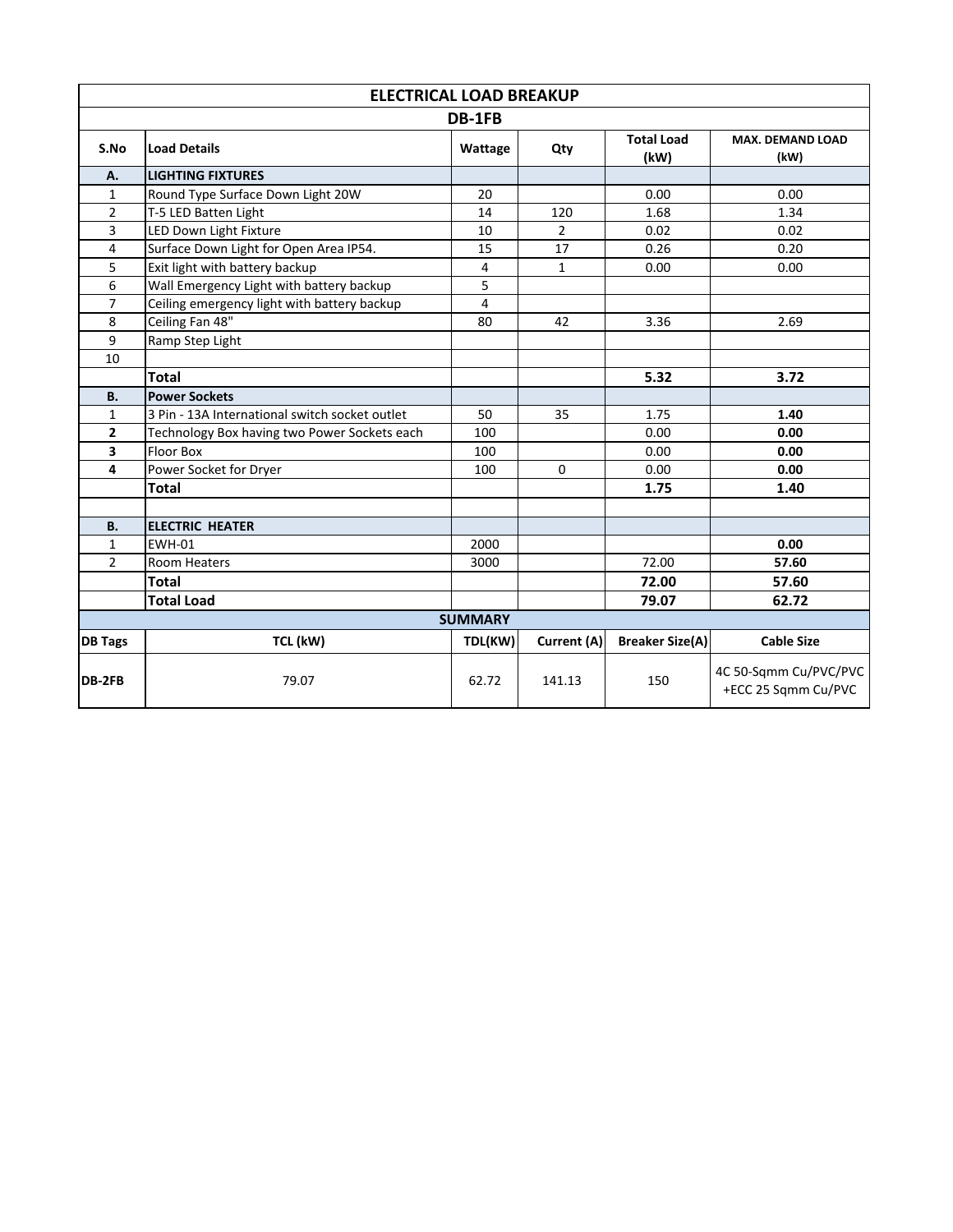| <b>ELECTRICAL LOAD BREAKUP</b> |                                                |                           |                                 |                                              |                   |  |  |  |
|--------------------------------|------------------------------------------------|---------------------------|---------------------------------|----------------------------------------------|-------------------|--|--|--|
|                                | DB-1FB                                         |                           |                                 |                                              |                   |  |  |  |
| S.No                           | <b>Load Details</b>                            | <b>Total Load</b><br>(kW) | <b>MAX. DEMAND LOAD</b><br>(kW) |                                              |                   |  |  |  |
| A.                             | <b>LIGHTING FIXTURES</b>                       |                           |                                 |                                              |                   |  |  |  |
| $\mathbf{1}$                   | Round Type Surface Down Light 20W              | 20                        |                                 | 0.00                                         | 0.00              |  |  |  |
| $\overline{2}$                 | T-5 LED Batten Light                           | 14                        | 120                             | 1.68                                         | 1.34              |  |  |  |
| 3                              | LED Down Light Fixture                         | 10                        | $\overline{2}$                  | 0.02                                         | 0.02              |  |  |  |
| 4                              | Surface Down Light for Open Area IP54.         | 15                        | 17                              | 0.26                                         | 0.20              |  |  |  |
| 5                              | Exit light with battery backup                 | 4                         | $\mathbf{1}$                    | 0.00                                         | 0.00              |  |  |  |
| 6                              | Wall Emergency Light with battery backup       | 5                         |                                 |                                              |                   |  |  |  |
| $\overline{7}$                 | Ceiling emergency light with battery backup    | 4                         |                                 |                                              |                   |  |  |  |
| 8                              | Ceiling Fan 48"                                | 80                        | 42                              | 3.36                                         | 2.69              |  |  |  |
| 9                              | Ramp Step Light                                |                           |                                 |                                              |                   |  |  |  |
| 10                             |                                                |                           |                                 |                                              |                   |  |  |  |
|                                | <b>Total</b>                                   |                           |                                 | 5.32                                         | 3.72              |  |  |  |
| <b>B.</b>                      | <b>Power Sockets</b>                           |                           |                                 |                                              |                   |  |  |  |
| $\mathbf{1}$                   | 3 Pin - 13A International switch socket outlet | 50                        | 35                              | 1.75                                         | 1.40              |  |  |  |
| $\overline{2}$                 | Technology Box having two Power Sockets each   | 100                       |                                 | 0.00                                         | 0.00              |  |  |  |
| 3                              | <b>Floor Box</b>                               | 100                       |                                 | 0.00                                         | 0.00              |  |  |  |
| 4                              | Power Socket for Dryer                         | 100                       | $\Omega$                        | 0.00                                         | 0.00              |  |  |  |
|                                | <b>Total</b>                                   |                           |                                 | 1.75                                         | 1.40              |  |  |  |
|                                |                                                |                           |                                 |                                              |                   |  |  |  |
| <b>B.</b>                      | <b>ELECTRIC HEATER</b>                         |                           |                                 |                                              |                   |  |  |  |
| $\mathbf{1}$                   | <b>EWH-01</b>                                  | 2000                      |                                 |                                              | 0.00              |  |  |  |
| $\overline{2}$                 | Room Heaters                                   | 3000                      |                                 | 72.00                                        | 57.60             |  |  |  |
|                                | <b>Total</b>                                   |                           |                                 | 72.00                                        | 57.60             |  |  |  |
|                                | <b>Total Load</b>                              |                           |                                 | 79.07                                        | 62.72             |  |  |  |
|                                |                                                | <b>SUMMARY</b>            |                                 |                                              |                   |  |  |  |
| <b>DB Tags</b>                 | TCL (kW)                                       | TDL(KW)                   | Current (A)                     | <b>Breaker Size(A)</b>                       | <b>Cable Size</b> |  |  |  |
| DB-2FB                         | 79.07<br>62.72<br>141.13<br>150                |                           |                                 | 4C 50-Sqmm Cu/PVC/PVC<br>+ECC 25 Sqmm Cu/PVC |                   |  |  |  |